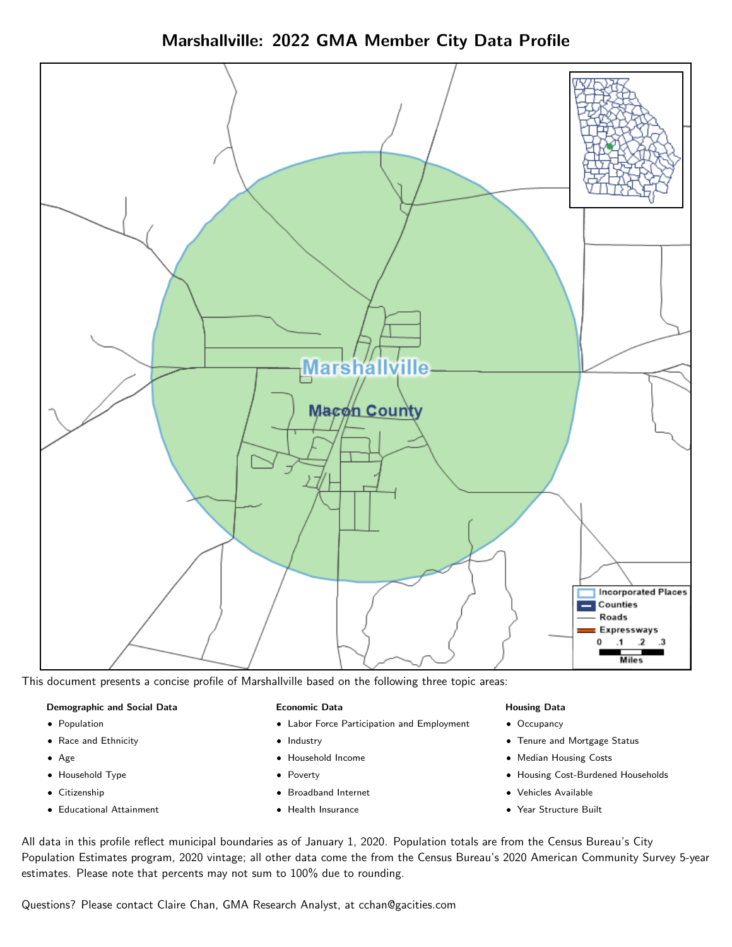Marshallville: 2022 GMA Member City Data Profile



This document presents a concise profile of Marshallville based on the following three topic areas:

#### Demographic and Social Data

- **•** Population
- Race and Ethnicity
- Age
- Household Type
- **Citizenship**
- Educational Attainment

#### Economic Data

- Labor Force Participation and Employment
- Industry
- Household Income
- Poverty
- Broadband Internet
- Health Insurance

#### Housing Data

- Occupancy
- Tenure and Mortgage Status
- Median Housing Costs
- Housing Cost-Burdened Households
- Vehicles Available
- Year Structure Built

All data in this profile reflect municipal boundaries as of January 1, 2020. Population totals are from the Census Bureau's City Population Estimates program, 2020 vintage; all other data come the from the Census Bureau's 2020 American Community Survey 5-year estimates. Please note that percents may not sum to 100% due to rounding.

Questions? Please contact Claire Chan, GMA Research Analyst, at [cchan@gacities.com.](mailto:cchan@gacities.com)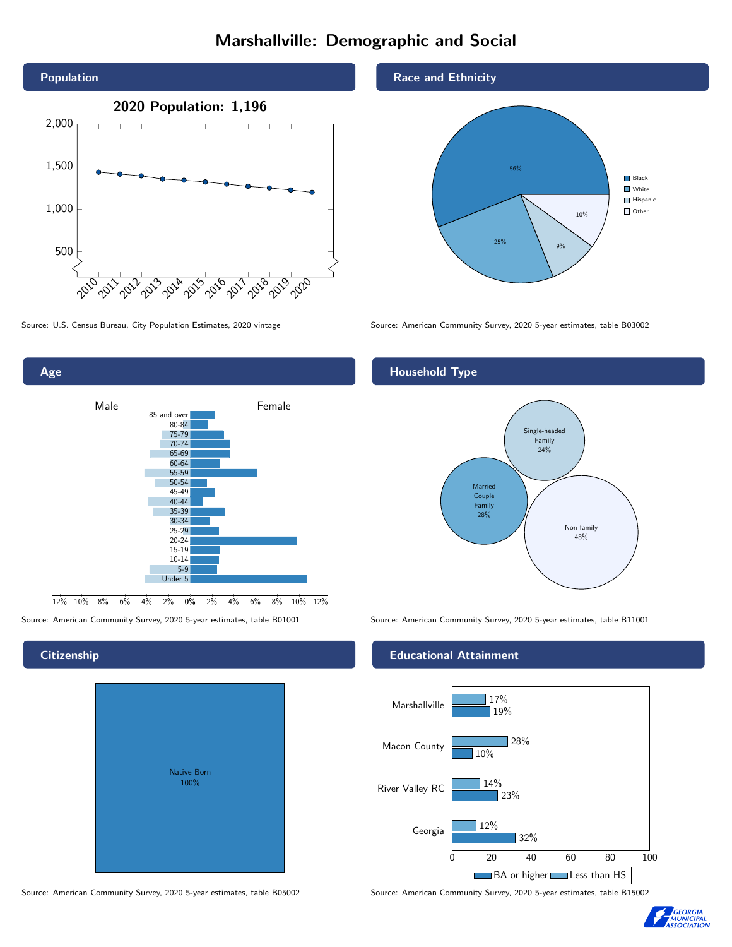# Marshallville: Demographic and Social





**Citizenship** 

| Native Born<br>100% |  |
|---------------------|--|

Source: American Community Survey, 2020 5-year estimates, table B05002 Source: American Community Survey, 2020 5-year estimates, table B15002

Race and Ethnicity



Source: U.S. Census Bureau, City Population Estimates, 2020 vintage Source: American Community Survey, 2020 5-year estimates, table B03002

### Household Type



Source: American Community Survey, 2020 5-year estimates, table B01001 Source: American Community Survey, 2020 5-year estimates, table B11001

#### Educational Attainment



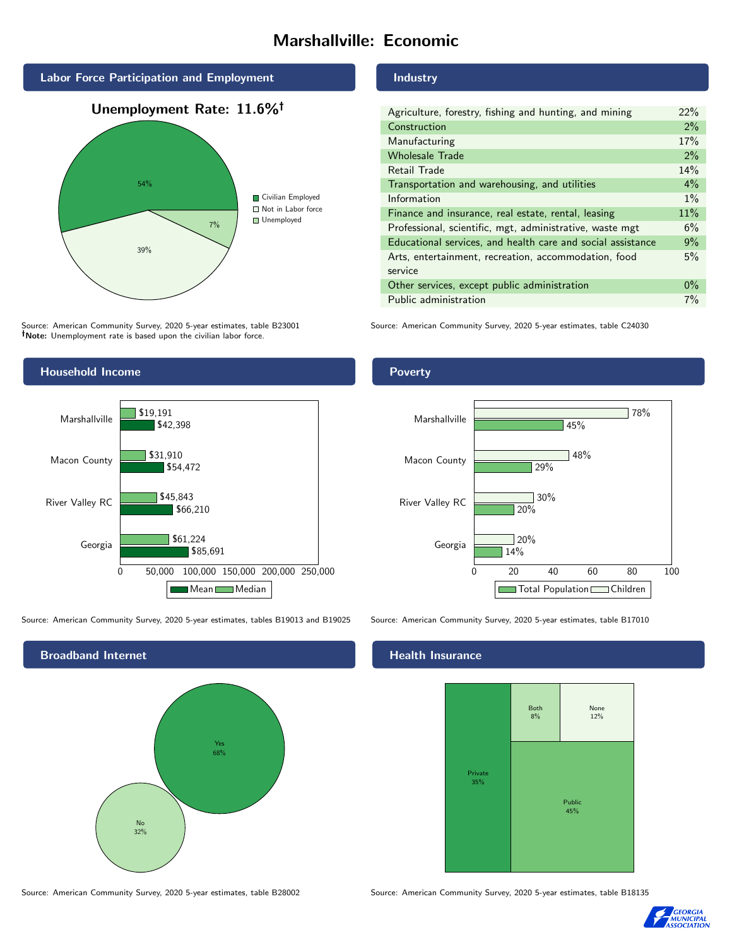# Marshallville: Economic





Source: American Community Survey, 2020 5-year estimates, table B23001 Note: Unemployment rate is based upon the civilian labor force.

#### Industry

| Agriculture, forestry, fishing and hunting, and mining      | 22% |  |
|-------------------------------------------------------------|-----|--|
| Construction                                                | 2%  |  |
| Manufacturing                                               | 17% |  |
| <b>Wholesale Trade</b>                                      | 2%  |  |
| Retail Trade                                                | 14% |  |
| Transportation and warehousing, and utilities               |     |  |
| Information                                                 |     |  |
| Finance and insurance, real estate, rental, leasing         |     |  |
| Professional, scientific, mgt, administrative, waste mgt    |     |  |
| Educational services, and health care and social assistance |     |  |
| Arts, entertainment, recreation, accommodation, food        |     |  |
| service                                                     |     |  |
| Other services, except public administration                |     |  |
| Public administration                                       |     |  |

Source: American Community Survey, 2020 5-year estimates, table C24030



Source: American Community Survey, 2020 5-year estimates, tables B19013 and B19025 Source: American Community Survey, 2020 5-year estimates, table B17010



#### Health Insurance



Source: American Community Survey, 2020 5-year estimates, table B28002 Source: American Community Survey, 2020 5-year estimates, table B18135



Poverty

#### Georgia River Valley RC Macon County Marshallville 20% 29% 45%  $720%$ 30% 48% 78%

14%

0 20 40 60 80 100

Total Population Children